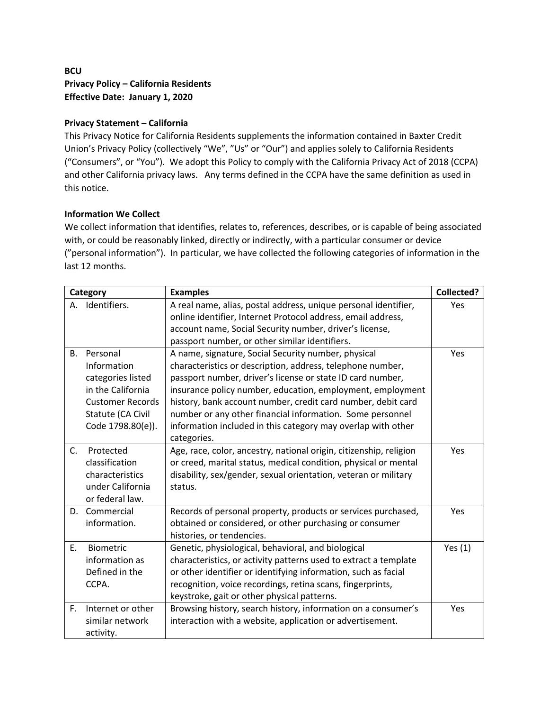# **BCU Privacy Policy – California Residents Effective Date: January 1, 2020**

# **Privacy Statement – California**

This Privacy Notice for California Residents supplements the information contained in Baxter Credit Union's Privacy Policy (collectively "We", "Us" or "Our") and applies solely to California Residents ("Consumers", or "You"). We adopt this Policy to comply with the California Privacy Act of 2018 (CCPA) and other California privacy laws. Any terms defined in the CCPA have the same definition as used in this notice.

### **Information We Collect**

We collect information that identifies, relates to, references, describes, or is capable of being associated with, or could be reasonably linked, directly or indirectly, with a particular consumer or device ("personal information"). In particular, we have collected the following categories of information in the last 12 months.

| Category  |                         | <b>Examples</b>                                                    | <b>Collected?</b> |
|-----------|-------------------------|--------------------------------------------------------------------|-------------------|
| А.        | Identifiers.            | A real name, alias, postal address, unique personal identifier,    | Yes               |
|           |                         | online identifier, Internet Protocol address, email address,       |                   |
|           |                         | account name, Social Security number, driver's license,            |                   |
|           |                         | passport number, or other similar identifiers.                     |                   |
| <b>B.</b> | Personal                | A name, signature, Social Security number, physical                | Yes               |
|           | Information             | characteristics or description, address, telephone number,         |                   |
|           | categories listed       | passport number, driver's license or state ID card number,         |                   |
|           | in the California       | insurance policy number, education, employment, employment         |                   |
|           | <b>Customer Records</b> | history, bank account number, credit card number, debit card       |                   |
|           | Statute (CA Civil       | number or any other financial information. Some personnel          |                   |
|           | Code 1798.80(e)).       | information included in this category may overlap with other       |                   |
|           |                         | categories.                                                        |                   |
| C.        | Protected               | Age, race, color, ancestry, national origin, citizenship, religion | Yes               |
|           | classification          | or creed, marital status, medical condition, physical or mental    |                   |
|           | characteristics         | disability, sex/gender, sexual orientation, veteran or military    |                   |
|           | under California        | status.                                                            |                   |
|           | or federal law.         |                                                                    |                   |
| D.        | Commercial              | Records of personal property, products or services purchased,      | Yes               |
|           | information.            | obtained or considered, or other purchasing or consumer            |                   |
|           |                         | histories, or tendencies.                                          |                   |
| E.        | Biometric               | Genetic, physiological, behavioral, and biological                 | Yes $(1)$         |
|           | information as          | characteristics, or activity patterns used to extract a template   |                   |
|           | Defined in the          | or other identifier or identifying information, such as facial     |                   |
|           | CCPA.                   | recognition, voice recordings, retina scans, fingerprints,         |                   |
|           |                         | keystroke, gait or other physical patterns.                        |                   |
| F.        | Internet or other       | Browsing history, search history, information on a consumer's      | Yes               |
|           | similar network         | interaction with a website, application or advertisement.          |                   |
|           | activity.               |                                                                    |                   |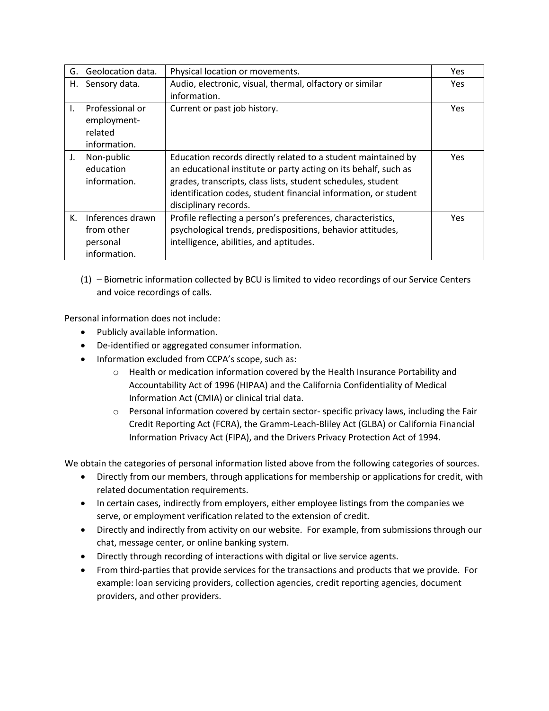|              | G. Geolocation data. | Physical location or movements.                                 | <b>Yes</b> |
|--------------|----------------------|-----------------------------------------------------------------|------------|
|              | H. Sensory data.     | Audio, electronic, visual, thermal, olfactory or similar        | Yes        |
|              |                      | information.                                                    |            |
| $\mathbf{L}$ | Professional or      | Current or past job history.                                    | Yes        |
|              | employment-          |                                                                 |            |
|              | related              |                                                                 |            |
|              | information.         |                                                                 |            |
| J.           | Non-public           | Education records directly related to a student maintained by   | <b>Yes</b> |
|              | education            | an educational institute or party acting on its behalf, such as |            |
|              | information.         | grades, transcripts, class lists, student schedules, student    |            |
|              |                      | identification codes, student financial information, or student |            |
|              |                      | disciplinary records.                                           |            |
| К.           | Inferences drawn     | Profile reflecting a person's preferences, characteristics,     | <b>Yes</b> |
|              | from other           | psychological trends, predispositions, behavior attitudes,      |            |
|              | personal             | intelligence, abilities, and aptitudes.                         |            |
|              | information.         |                                                                 |            |

(1) – Biometric information collected by BCU is limited to video recordings of our Service Centers and voice recordings of calls.

Personal information does not include:

- Publicly available information.
- De-identified or aggregated consumer information.
- Information excluded from CCPA's scope, such as:
	- $\circ$  Health or medication information covered by the Health Insurance Portability and Accountability Act of 1996 (HIPAA) and the California Confidentiality of Medical Information Act (CMIA) or clinical trial data.
	- $\circ$  Personal information covered by certain sector-specific privacy laws, including the Fair Credit Reporting Act (FCRA), the Gramm-Leach-Bliley Act (GLBA) or California Financial Information Privacy Act (FIPA), and the Drivers Privacy Protection Act of 1994.

We obtain the categories of personal information listed above from the following categories of sources.

- Directly from our members, through applications for membership or applications for credit, with related documentation requirements.
- In certain cases, indirectly from employers, either employee listings from the companies we serve, or employment verification related to the extension of credit.
- Directly and indirectly from activity on our website. For example, from submissions through our chat, message center, or online banking system.
- Directly through recording of interactions with digital or live service agents.
- From third-parties that provide services for the transactions and products that we provide. For example: loan servicing providers, collection agencies, credit reporting agencies, document providers, and other providers.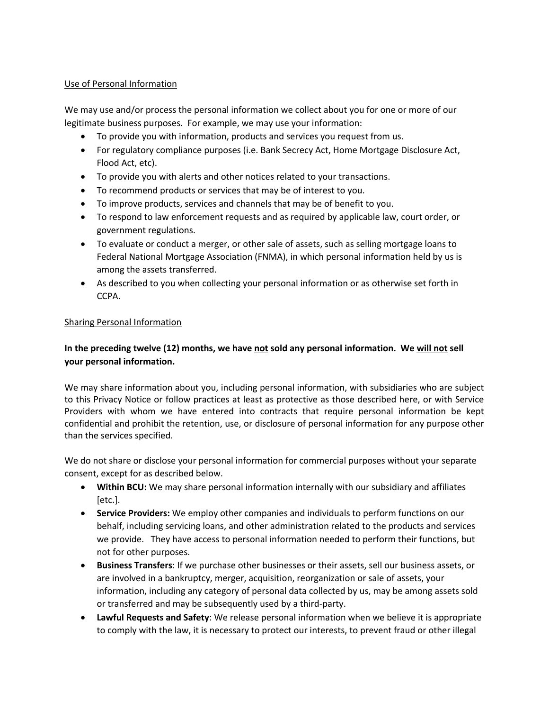### Use of Personal Information

We may use and/or process the personal information we collect about you for one or more of our legitimate business purposes. For example, we may use your information:

- To provide you with information, products and services you request from us.
- For regulatory compliance purposes (i.e. Bank Secrecy Act, Home Mortgage Disclosure Act, Flood Act, etc).
- To provide you with alerts and other notices related to your transactions.
- To recommend products or services that may be of interest to you.
- To improve products, services and channels that may be of benefit to you.
- To respond to law enforcement requests and as required by applicable law, court order, or government regulations.
- To evaluate or conduct a merger, or other sale of assets, such as selling mortgage loans to Federal National Mortgage Association (FNMA), in which personal information held by us is among the assets transferred.
- As described to you when collecting your personal information or as otherwise set forth in CCPA.

#### Sharing Personal Information

# **In the preceding twelve (12) months, we have not sold any personal information. We will not sell your personal information.**

We may share information about you, including personal information, with subsidiaries who are subject to this Privacy Notice or follow practices at least as protective as those described here, or with Service Providers with whom we have entered into contracts that require personal information be kept confidential and prohibit the retention, use, or disclosure of personal information for any purpose other than the services specified.

We do not share or disclose your personal information for commercial purposes without your separate consent, except for as described below.

- **Within BCU:** We may share personal information internally with our subsidiary and affiliates [etc.].
- **Service Providers:** We employ other companies and individuals to perform functions on our behalf, including servicing loans, and other administration related to the products and services we provide. They have access to personal information needed to perform their functions, but not for other purposes.
- **Business Transfers**: If we purchase other businesses or their assets, sell our business assets, or are involved in a bankruptcy, merger, acquisition, reorganization or sale of assets, your information, including any category of personal data collected by us, may be among assets sold or transferred and may be subsequently used by a third-party.
- **Lawful Requests and Safety**: We release personal information when we believe it is appropriate to comply with the law, it is necessary to protect our interests, to prevent fraud or other illegal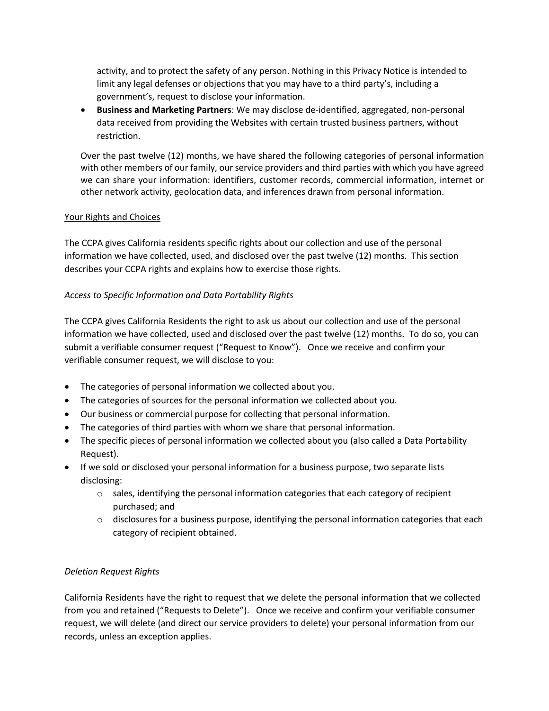activity, and to protect the safety of any person. Nothing in this Privacy Notice is intended to limit any legal defenses or objections that you may have to a third party's, including a government's, request to disclose your information.

• **Business and Marketing Partners**: We may disclose de-identified, aggregated, non-personal data received from providing the Websites with certain trusted business partners, without restriction.

Over the past twelve (12) months, we have shared the following categories of personal information with other members of our family, our service providers and third parties with which you have agreed we can share your information: identifiers, customer records, commercial information, internet or other network activity, geolocation data, and inferences drawn from personal information.

### Your Rights and Choices

The CCPA gives California residents specific rights about our collection and use of the personal information we have collected, used, and disclosed over the past twelve (12) months. This section describes your CCPA rights and explains how to exercise those rights.

### *Access to Specific Information and Data Portability Rights*

The CCPA gives California Residents the right to ask us about our collection and use of the personal information we have collected, used and disclosed over the past twelve (12) months. To do so, you can submit a verifiable consumer request ("Request to Know"). Once we receive and confirm your verifiable consumer request, we will disclose to you:

- The categories of personal information we collected about you.
- The categories of sources for the personal information we collected about you.
- Our business or commercial purpose for collecting that personal information.
- The categories of third parties with whom we share that personal information.
- The specific pieces of personal information we collected about you (also called a Data Portability Request).
- If we sold or disclosed your personal information for a business purpose, two separate lists disclosing:
	- $\circ$  sales, identifying the personal information categories that each category of recipient purchased; and
	- $\circ$  disclosures for a business purpose, identifying the personal information categories that each category of recipient obtained.

### *Deletion Request Rights*

California Residents have the right to request that we delete the personal information that we collected from you and retained ("Requests to Delete"). Once we receive and confirm your verifiable consumer request, we will delete (and direct our service providers to delete) your personal information from our records, unless an exception applies.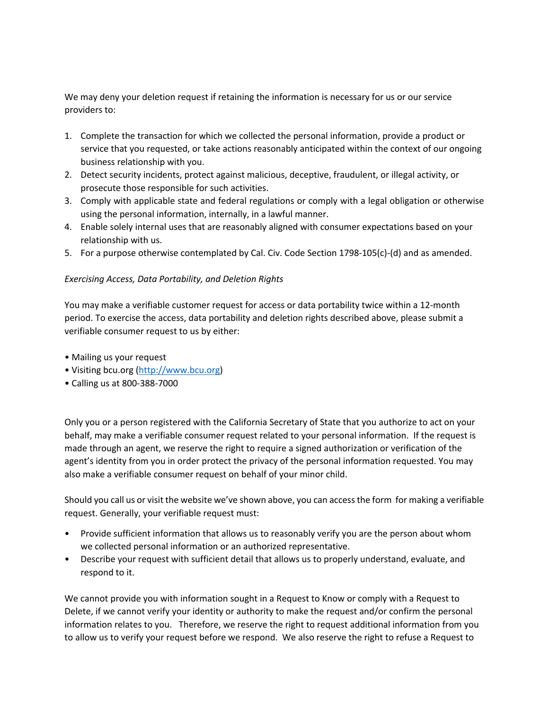We may deny your deletion request if retaining the information is necessary for us or our service providers to:

- 1. Complete the transaction for which we collected the personal information, provide a product or service that you requested, or take actions reasonably anticipated within the context of our ongoing business relationship with you.
- 2. Detect security incidents, protect against malicious, deceptive, fraudulent, or illegal activity, or prosecute those responsible for such activities.
- 3. Comply with applicable state and federal regulations or comply with a legal obligation or otherwise using the personal information, internally, in a lawful manner.
- 4. Enable solely internal uses that are reasonably aligned with consumer expectations based on your relationship with us.
- 5. For a purpose otherwise contemplated by Cal. Civ. Code Section 1798-105(c)-(d) and as amended.

### *Exercising Access, Data Portability, and Deletion Rights*

You may make a verifiable customer request for access or data portability twice within a 12-month period. To exercise the access, data portability and deletion rights described above, please submit a verifiable consumer request to us by either:

- Mailing us your request
- Visiting bcu.org (http://www.bcu.org)
- Calling us at 800-388-7000

Only you or a person registered with the California Secretary of State that you authorize to act on your behalf, may make a verifiable consumer request related to your personal information. If the request is made through an agent, we reserve the right to require a signed authorization or verification of the agent's identity from you in order protect the privacy of the personal information requested. You may also make a verifiable consumer request on behalf of your minor child.

Should you call us or visit the website we've shown above, you can access the form for making a verifiable request. Generally, your verifiable request must:

- Provide sufficient information that allows us to reasonably verify you are the person about whom we collected personal information or an authorized representative.
- Describe your request with sufficient detail that allows us to properly understand, evaluate, and respond to it.

We cannot provide you with information sought in a Request to Know or comply with a Request to Delete, if we cannot verify your identity or authority to make the request and/or confirm the personal information relates to you. Therefore, we reserve the right to request additional information from you to allow us to verify your request before we respond. We also reserve the right to refuse a Request to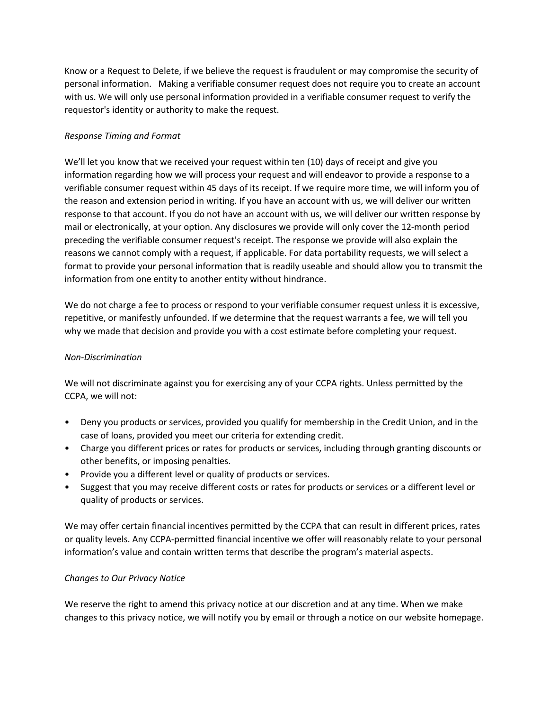Know or a Request to Delete, if we believe the request is fraudulent or may compromise the security of personal information. Making a verifiable consumer request does not require you to create an account with us. We will only use personal information provided in a verifiable consumer request to verify the requestor's identity or authority to make the request.

# *Response Timing and Format*

We'll let you know that we received your request within ten (10) days of receipt and give you information regarding how we will process your request and will endeavor to provide a response to a verifiable consumer request within 45 days of its receipt. If we require more time, we will inform you of the reason and extension period in writing. If you have an account with us, we will deliver our written response to that account. If you do not have an account with us, we will deliver our written response by mail or electronically, at your option. Any disclosures we provide will only cover the 12-month period preceding the verifiable consumer request's receipt. The response we provide will also explain the reasons we cannot comply with a request, if applicable. For data portability requests, we will select a format to provide your personal information that is readily useable and should allow you to transmit the information from one entity to another entity without hindrance.

We do not charge a fee to process or respond to your verifiable consumer request unless it is excessive, repetitive, or manifestly unfounded. If we determine that the request warrants a fee, we will tell you why we made that decision and provide you with a cost estimate before completing your request.

### *Non-Discrimination*

We will not discriminate against you for exercising any of your CCPA rights. Unless permitted by the CCPA, we will not:

- Deny you products or services, provided you qualify for membership in the Credit Union, and in the case of loans, provided you meet our criteria for extending credit.
- Charge you different prices or rates for products or services, including through granting discounts or other benefits, or imposing penalties.
- Provide you a different level or quality of products or services.
- Suggest that you may receive different costs or rates for products or services or a different level or quality of products or services.

We may offer certain financial incentives permitted by the CCPA that can result in different prices, rates or quality levels. Any CCPA-permitted financial incentive we offer will reasonably relate to your personal information's value and contain written terms that describe the program's material aspects.

### *Changes to Our Privacy Notice*

We reserve the right to amend this privacy notice at our discretion and at any time. When we make changes to this privacy notice, we will notify you by email or through a notice on our website homepage.